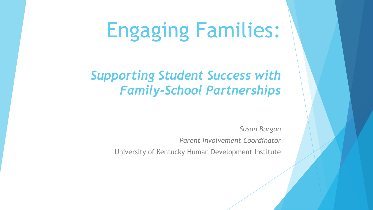# Engaging Families:

#### *Supporting Student Success with Family-School Partnerships*

*Susan Burgan*

*Parent Involvement Coordinator*

University of Kentucky Human Development Institute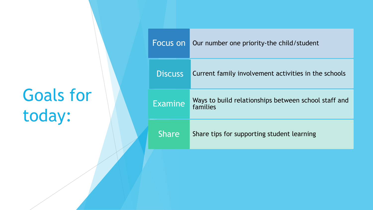## Goals for today:

| Focus on       | Our number one priority-the child/student                        |
|----------------|------------------------------------------------------------------|
| <b>Discuss</b> | Current family involvement activities in the schools             |
| Examine        | Ways to build relationships between school staff and<br>families |
| <b>Share</b>   | Share tips for supporting student learning                       |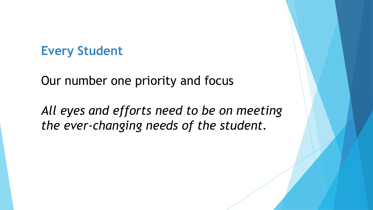#### **Every Student**

Our number one priority and focus

*All eyes and efforts need to be on meeting the ever-changing needs of the student.*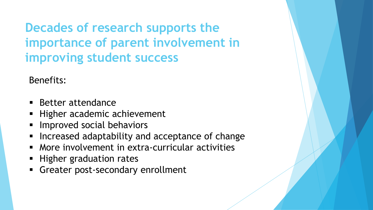**Decades of research supports the importance of parent involvement in improving student success**

Benefits:

- Better attendance
- Higher academic achievement
- **EXP** Improved social behaviors
- **EXP** Increased adaptability and acceptance of change
- More involvement in extra-curricular activities
- **EXP** Higher graduation rates
- **EXECONDER 19 Greater post-secondary enrollment**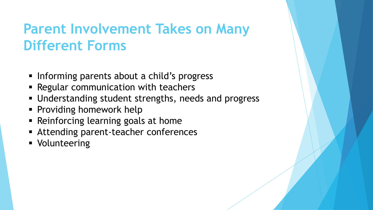## **Parent Involvement Takes on Many Different Forms**

- **EXTERNITHS Informing parents about a child's progress**
- **EXEGGINARY EXECUTE:** Regular communication with teachers
- Understanding student strengths, needs and progress
- **Providing homework help**
- **EXECTE:** Reinforcing learning goals at home
- **EXTENDING PARAISE Attending parent-teacher conferences**
- Volunteering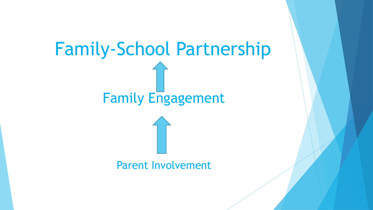# Family-School Partnership Family Engagement Parent Involvement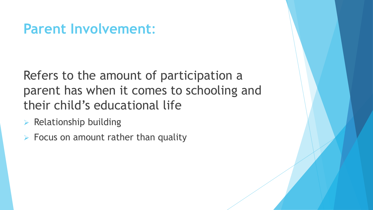## **Parent Involvement**:

Refers to the amount of participation a parent has when it comes to schooling and their child's educational life

- $\triangleright$  Relationship building
- $\triangleright$  Focus on amount rather than quality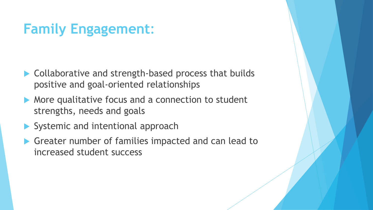## **Family Engagement**:

- ▶ Collaborative and strength-based process that builds positive and goal-oriented relationships
- More qualitative focus and a connection to student strengths, needs and goals
- Systemic and intentional approach
- Greater number of families impacted and can lead to increased student success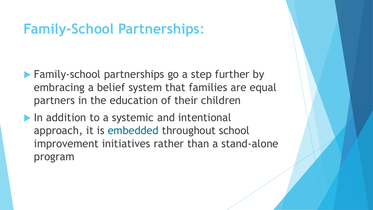## **Family-School Partnerships**:

- **Family-school partnerships go a step further by** embracing a belief system that families are equal partners in the education of their children
- $\blacktriangleright$  In addition to a systemic and intentional approach, it is embedded throughout school improvement initiatives rather than a stand-alone program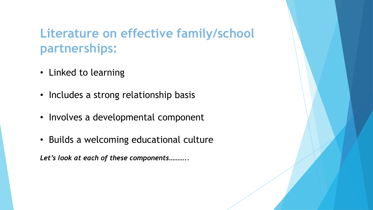#### **Literature on effective family/school partnerships:**

- Linked to learning
- Includes a strong relationship basis
- Involves a developmental component
- Builds a welcoming educational culture

*Let's look at each of these components………..*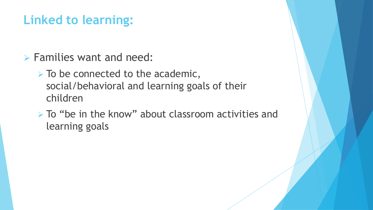#### **Linked to learning:**

- ➢ Families want and need:
	- $\triangleright$  To be connected to the academic, social/behavioral and learning goals of their children
	- ➢ To "be in the know" about classroom activities and learning goals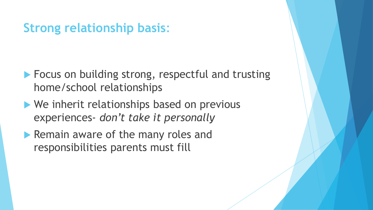#### **Strong relationship basis**:

- **Focus on building strong, respectful and trusting** home/school relationships
- We inherit relationships based on previous experiences- *don't take it personally*
- **Remain aware of the many roles and** responsibilities parents must fill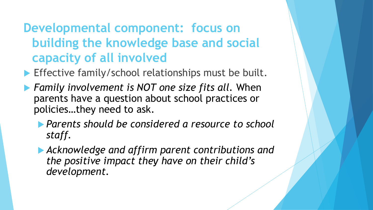## **Developmental component: focus on building the knowledge base and social capacity of all involved**

**Effective family/school relationships must be built.** 

- *Family involvement is NOT one size fits all.* When parents have a question about school practices or policies…they need to ask.
	- *Parents should be considered a resource to school staff.*
	- *Acknowledge and affirm parent contributions and the positive impact they have on their child's development.*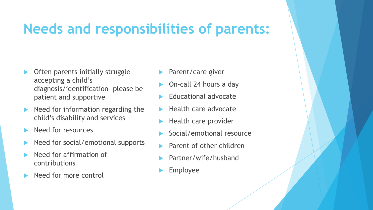## **Needs and responsibilities of parents:**

- Often parents initially struggle accepting a child's diagnosis/identification- please be patient and supportive
- Need for information regarding the child's disability and services
- Need for resources
- Need for social/emotional supports
- Need for affirmation of contributions
- Need for more control
- Parent/care giver
- On-call 24 hours a day
- Educational advocate
- Health care advocate
- Health care provider
- Social/emotional resource
- Parent of other children
- Partner/wife/husband
- Employee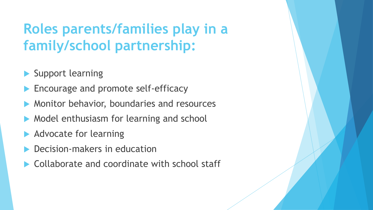## **Roles parents/families play in a family/school partnership:**

- Support learning
- Encourage and promote self-efficacy
- Monitor behavior, boundaries and resources
- Model enthusiasm for learning and school
- Advocate for learning
- Decision-makers in education
- Collaborate and coordinate with school staff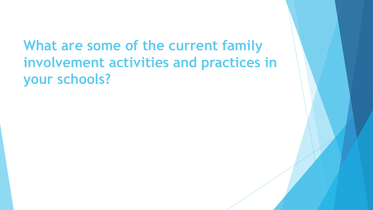## **What are some of the current family involvement activities and practices in your schools?**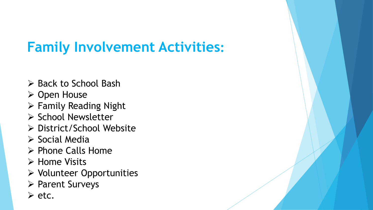## **Family Involvement Activities:**

- ➢ Back to School Bash
- ➢ Open House
- ➢ Family Reading Night
- ➢ School Newsletter
- ➢ District/School Website
- ➢ Social Media
- ➢ Phone Calls Home
- ➢ Home Visits
- ➢ Volunteer Opportunities
- ➢ Parent Surveys
- ➢ etc.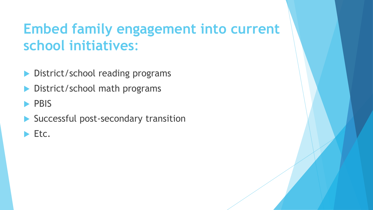## **Embed family engagement into current school initiatives**:

- District/school reading programs
- District/school math programs

#### **PBIS**

- Successful post-secondary transition
- $\blacktriangleright$  Etc.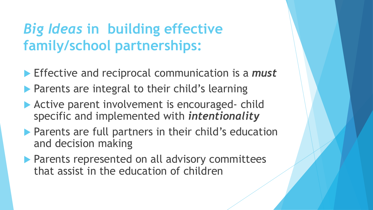## *Big Ideas* **in building effective family/school partnerships:**

- Effective and reciprocal communication is a *must*
- **Parents are integral to their child's learning**
- **Active parent involvement is encouraged- child** specific and implemented with *intentionality*
- **Parents are full partners in their child's education** and decision making
- **Parents represented on all advisory committees** that assist in the education of children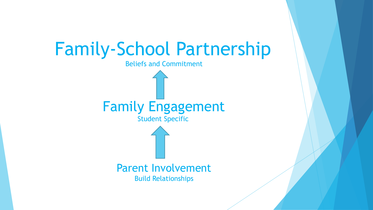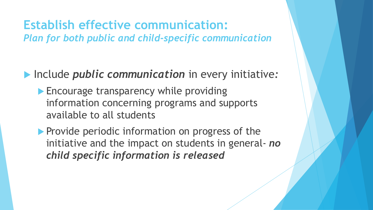#### **Establish effective communication:**  *Plan for both public and child-specific communication*

Include *public communication* in every initiative*:*

- **Encourage transparency while providing** information concerning programs and supports available to all students
- **Provide periodic information on progress of the** initiative and the impact on students in general- *no child specific information is released*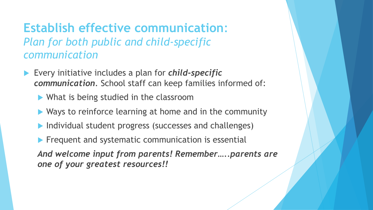#### **Establish effective communication**: *Plan for both public and child-specific communication*

- Every initiative includes a plan for *child-specific communication*. School staff can keep families informed of:
	- ▶ What is being studied in the classroom
	- ▶ Ways to reinforce learning at home and in the community
	- Individual student progress (successes and challenges)
	- $\blacktriangleright$  Frequent and systematic communication is essential

*And welcome input from parents! Remember…..parents are one of your greatest resources!!*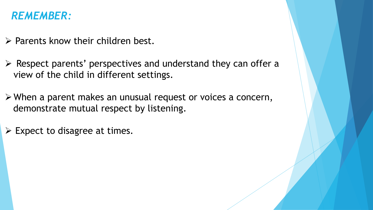#### *REMEMBER:*

- ➢ Parents know their children best.
- ➢ Respect parents' perspectives and understand they can offer a view of the child in different settings.
- ➢ When a parent makes an unusual request or voices a concern, demonstrate mutual respect by listening.
- $\triangleright$  Expect to disagree at times.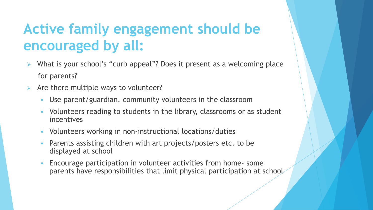## **Active family engagement should be encouraged by all:**

- ➢ What is your school's "curb appeal"? Does it present as a welcoming place for parents?
- $\triangleright$  Are there multiple ways to volunteer?
	- Use parent/guardian, community volunteers in the classroom
	- Volunteers reading to students in the library, classrooms or as student incentives
	- Volunteers working in non-instructional locations/duties
	- Parents assisting children with art projects/posters etc. to be displayed at school
	- **Encourage participation in volunteer activities from home- some** parents have responsibilities that limit physical participation at school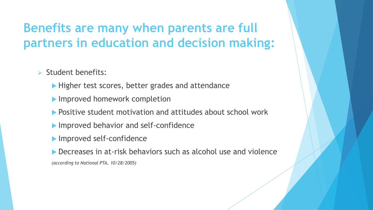## **Benefits are many when parents are full partners in education and decision making:**

- ➢ Student benefits:
	- Higher test scores, better grades and attendance
	- **Improved homework completion**
	- **Positive student motivation and attitudes about school work**
	- **Improved behavior and self-confidence**
	- **Improved self-confidence**
	- Decreases in at-risk behaviors such as alcohol use and violence

*(according to National PTA, 10/28/2005)*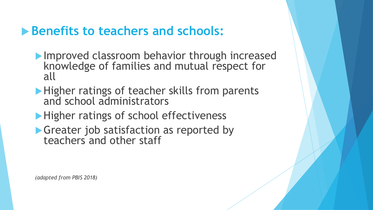#### **Benefits to teachers and schools:**

- **Improved classroom behavior through increased** knowledge of families and mutual respect for all
- **Higher ratings of teacher skills from parents** and school administrators
- Higher ratings of school effectiveness
- Greater job satisfaction as reported by teachers and other staff

*(adapted from PBIS 2018)*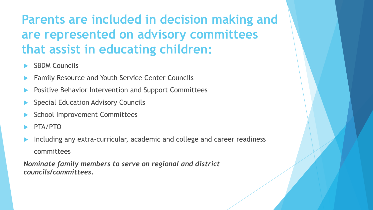## **Parents are included in decision making and are represented on advisory committees that assist in educating children:**

- SBDM Councils
- Family Resource and Youth Service Center Councils
- Positive Behavior Intervention and Support Committees
- Special Education Advisory Councils
- School Improvement Committees
- PTA/PTO
- Including any extra-curricular, academic and college and career readiness committees

*Nominate family members to serve on regional and district councils/committees.*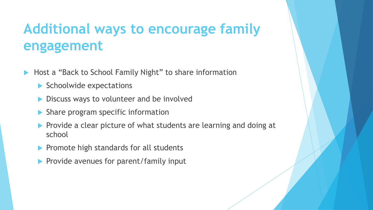## **Additional ways to encourage family engagement**

- ▶ Host a "Back to School Family Night" to share information
	- $\blacktriangleright$  Schoolwide expectations
	- **Discuss ways to volunteer and be involved**
	- Share program specific information
	- Provide a clear picture of what students are learning and doing at school
	- $\blacktriangleright$  Promote high standards for all students
	- $\blacktriangleright$  Provide avenues for parent/family input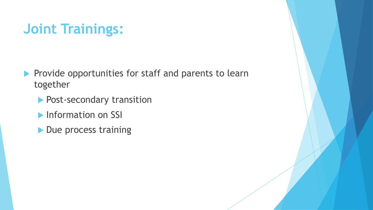## **Joint Trainings:**

- Provide opportunities for staff and parents to learn together
	- **Post-secondary transition**
	- **Information on SSI**
	- Due process training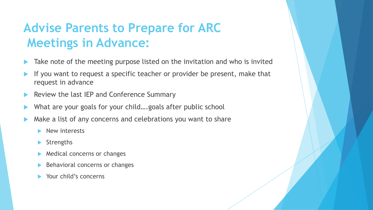## **Advise Parents to Prepare for ARC Meetings in Advance:**

- Take note of the meeting purpose listed on the invitation and who is invited
- If you want to request a specific teacher or provider be present, make that request in advance
- Review the last IEP and Conference Summary
- What are your goals for your child….goals after public school
- Make a list of any concerns and celebrations you want to share
	- New interests
	- **Strengths**
	- Medical concerns or changes
	- Behavioral concerns or changes
	- Your child's concerns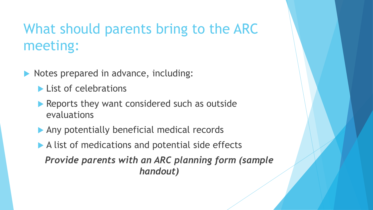## What should parents bring to the ARC meeting:

- Notes prepared in advance, including:
	- **List of celebrations**
	- Reports they want considered such as outside evaluations
	- Any potentially beneficial medical records
	- A list of medications and potential side effects

*Provide parents with an ARC planning form (sample handout)*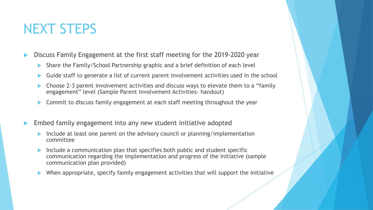## NEXT STEPS

Discuss Family Engagement at the first staff meeting for the 2019-2020 year

- Share the Family/School Partnership graphic and a brief definition of each level
- Guide staff to generate a list of current parent involvement activities used in the school
- ▶ Choose 2-3 parent involvement activities and discuss ways to elevate them to a "family" engagement" level (Sample Parent Involvement Activities- handout)
- Commit to discuss family engagement at each staff meeting throughout the year
- Embed family engagement into any new student initiative adopted
	- Include at least one parent on the advisory council or planning/implementation committee
	- Include a communication plan that specifies both public and student specific communication regarding the implementation and progress of the initiative (sample communication plan provided)
	- When appropriate, specify family engagement activities that will support the initiative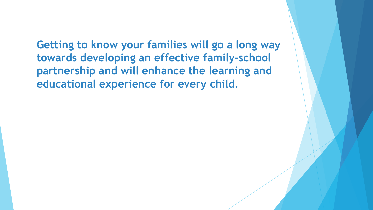**Getting to know your families will go a long way towards developing an effective family-school partnership and will enhance the learning and educational experience for every child.**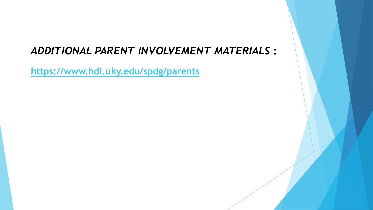#### *ADDITIONAL PARENT INVOLVEMENT MATERIALS* **:**

**<https://www.hdi.uky.edu/spdg/parents>**